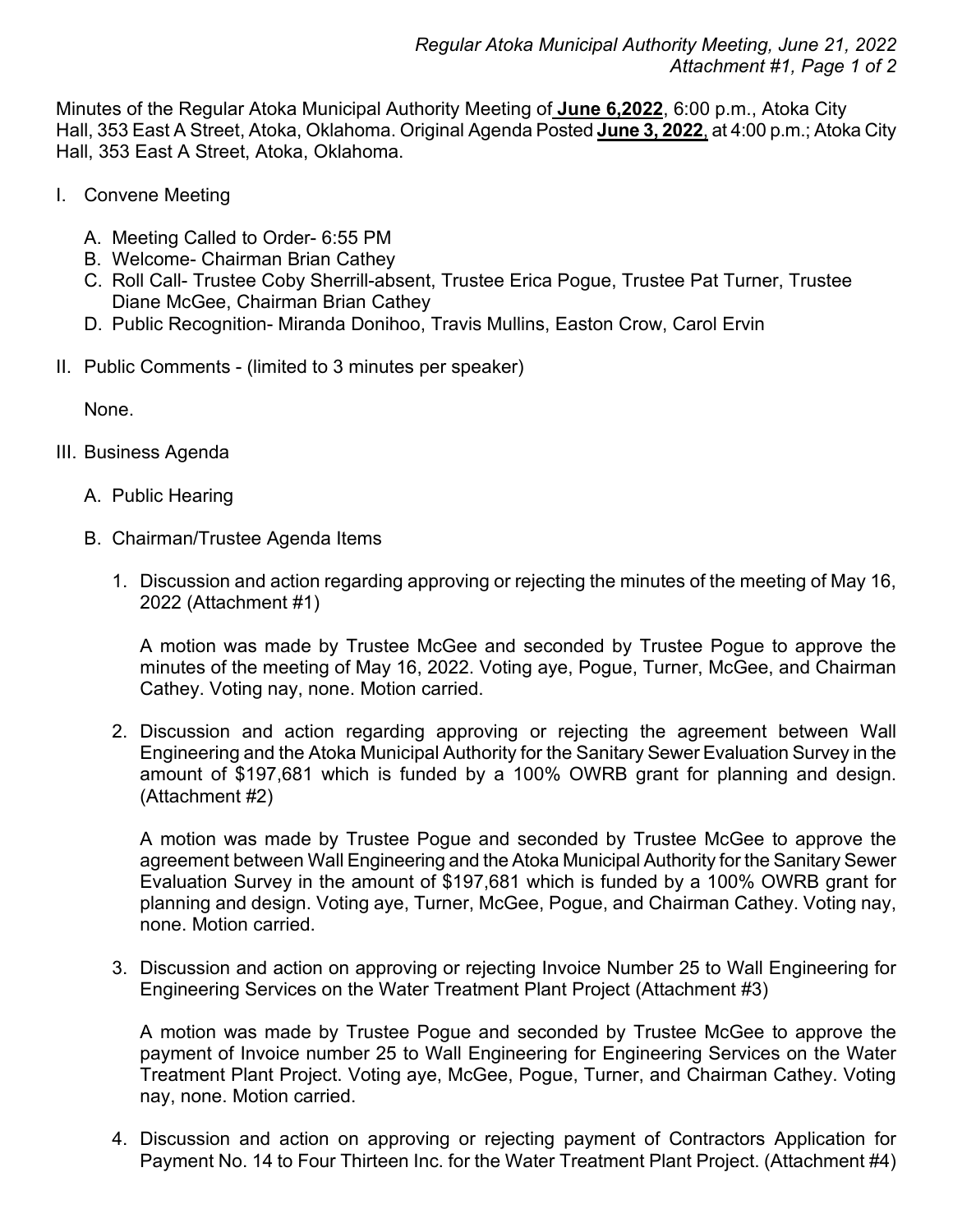Minutes of the Regular Atoka Municipal Authority Meeting of **June 6,2022**, 6:00 p.m., Atoka City Hall, 353 East A Street, Atoka, Oklahoma. Original Agenda Posted **June 3, 2022**, at 4:00 p.m.; Atoka City Hall, 353 East A Street, Atoka, Oklahoma.

- I. Convene Meeting
	- A. Meeting Called to Order- 6:55 PM
	- B. Welcome- Chairman Brian Cathey
	- C. Roll Call- Trustee Coby Sherrill-absent, Trustee Erica Pogue, Trustee Pat Turner, Trustee Diane McGee, Chairman Brian Cathey
	- D. Public Recognition- Miranda Donihoo, Travis Mullins, Easton Crow, Carol Ervin
- II. Public Comments (limited to 3 minutes per speaker)

None.

- III. Business Agenda
	- A. Public Hearing
	- B. Chairman/Trustee Agenda Items
		- 1. Discussion and action regarding approving or rejecting the minutes of the meeting of May 16, 2022 (Attachment #1)

A motion was made by Trustee McGee and seconded by Trustee Pogue to approve the minutes of the meeting of May 16, 2022. Voting aye, Pogue, Turner, McGee, and Chairman Cathey. Voting nay, none. Motion carried.

2. Discussion and action regarding approving or rejecting the agreement between Wall Engineering and the Atoka Municipal Authority for the Sanitary Sewer Evaluation Survey in the amount of \$197,681 which is funded by a 100% OWRB grant for planning and design. (Attachment #2)

A motion was made by Trustee Pogue and seconded by Trustee McGee to approve the agreement between Wall Engineering and the Atoka Municipal Authority for the Sanitary Sewer Evaluation Survey in the amount of \$197,681 which is funded by a 100% OWRB grant for planning and design. Voting aye, Turner, McGee, Pogue, and Chairman Cathey. Voting nay, none. Motion carried.

3. Discussion and action on approving or rejecting Invoice Number 25 to Wall Engineering for Engineering Services on the Water Treatment Plant Project (Attachment #3)

A motion was made by Trustee Pogue and seconded by Trustee McGee to approve the payment of Invoice number 25 to Wall Engineering for Engineering Services on the Water Treatment Plant Project. Voting aye, McGee, Pogue, Turner, and Chairman Cathey. Voting nay, none. Motion carried.

4. Discussion and action on approving or rejecting payment of Contractors Application for Payment No. 14 to Four Thirteen Inc. for the Water Treatment Plant Project. (Attachment #4)